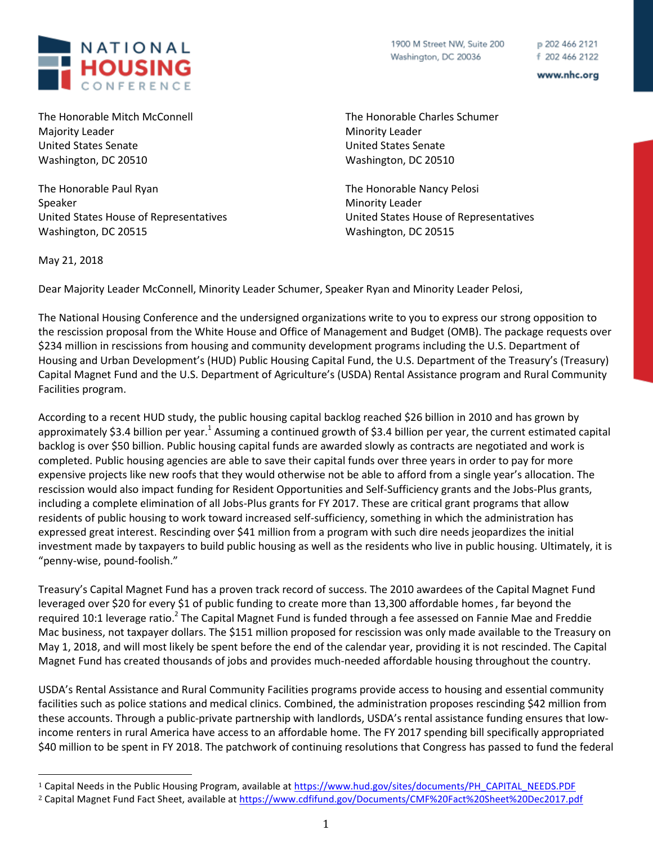

The Honorable Mitch McConnell Majority Leader United States Senate Washington, DC 20510

The Honorable Paul Ryan Speaker United States House of Representatives Washington, DC 20515

1900 M Street NW, Suite 200 Washington, DC 20036

p 202 466 2121 f 202 466 2122

www.nhc.org

The Honorable Charles Schumer Minority Leader United States Senate Washington, DC 20510

The Honorable Nancy Pelosi Minority Leader United States House of Representatives Washington, DC 20515

May 21, 2018

l

Dear Majority Leader McConnell, Minority Leader Schumer, Speaker Ryan and Minority Leader Pelosi,

The National Housing Conference and the undersigned organizations write to you to express our strong opposition to the rescission proposal from the White House and Office of Management and Budget (OMB). The package requests over \$234 million in rescissions from housing and community development programs including the U.S. Department of Housing and Urban Development's (HUD) Public Housing Capital Fund, the U.S. Department of the Treasury's (Treasury) Capital Magnet Fund and the U.S. Department of Agriculture's (USDA) Rental Assistance program and Rural Community Facilities program.

According to a recent HUD study, the public housing capital backlog reached \$26 billion in 2010 and has grown by approximately \$3.4 billion per year.<sup>1</sup> Assuming a continued growth of \$3.4 billion per year, the current estimated capital backlog is over \$50 billion. Public housing capital funds are awarded slowly as contracts are negotiated and work is completed. Public housing agencies are able to save their capital funds over three years in order to pay for more expensive projects like new roofs that they would otherwise not be able to afford from a single year's allocation. The rescission would also impact funding for Resident Opportunities and Self-Sufficiency grants and the Jobs-Plus grants, including a complete elimination of all Jobs-Plus grants for FY 2017. These are critical grant programs that allow residents of public housing to work toward increased self-sufficiency, something in which the administration has expressed great interest. Rescinding over \$41 million from a program with such dire needs jeopardizes the initial investment made by taxpayers to build public housing as well as the residents who live in public housing. Ultimately, it is "penny-wise, pound-foolish."

Treasury's Capital Magnet Fund has a proven track record of success. The 2010 awardees of the Capital Magnet Fund leveraged over \$20 for every \$1 of public funding to create more than 13,300 affordable homes, far beyond the required 10:1 leverage ratio.<sup>2</sup> The Capital Magnet Fund is funded through a fee assessed on Fannie Mae and Freddie Mac business, not taxpayer dollars. The \$151 million proposed for rescission was only made available to the Treasury on May 1, 2018, and will most likely be spent before the end of the calendar year, providing it is not rescinded. The Capital Magnet Fund has created thousands of jobs and provides much-needed affordable housing throughout the country.

USDA's Rental Assistance and Rural Community Facilities programs provide access to housing and essential community facilities such as police stations and medical clinics. Combined, the administration proposes rescinding \$42 million from these accounts. Through a public-private partnership with landlords, USDA's rental assistance funding ensures that lowincome renters in rural America have access to an affordable home. The FY 2017 spending bill specifically appropriated \$40 million to be spent in FY 2018. The patchwork of continuing resolutions that Congress has passed to fund the federal

<sup>1</sup> Capital Needs in the Public Housing Program, available at [https://www.hud.gov/sites/documents/PH\\_CAPITAL\\_NEEDS.PDF](https://www.hud.gov/sites/documents/PH_CAPITAL_NEEDS.PDF)

<sup>2</sup> Capital Magnet Fund Fact Sheet, available a[t https://www.cdfifund.gov/Documents/CMF%20Fact%20Sheet%20Dec2017.pdf](https://www.cdfifund.gov/Documents/CMF%20Fact%20Sheet%20Dec2017.pdf)